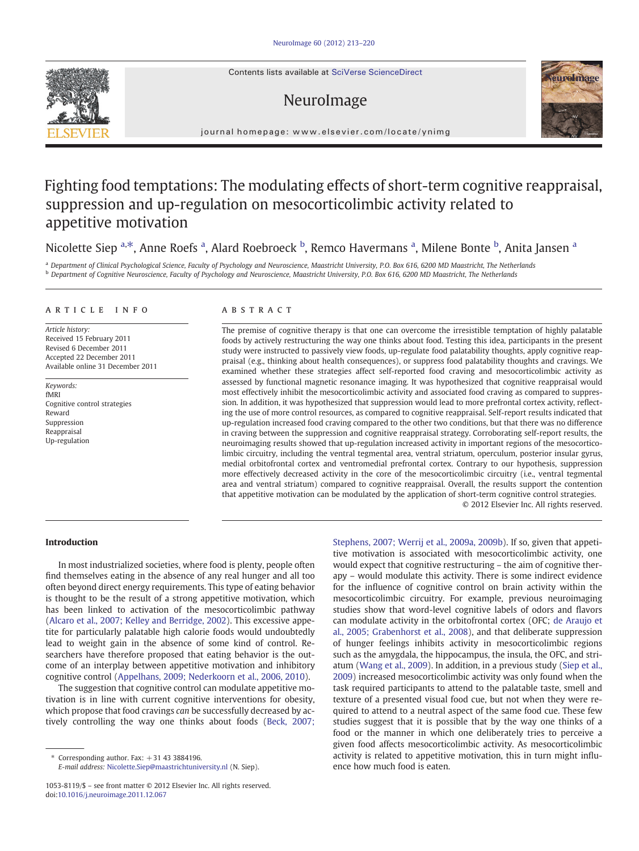Contents lists available at SciVerse ScienceDirect

# NeuroImage



journal homepage: www.elsevier.com/locate/ynimg

# Fighting food temptations: The modulating effects of short-term cognitive reappraisal, suppression and up-regulation on mesocorticolimbic activity related to appetitive motivation

Nicolette Siep <sup>a,\*</sup>, Anne Roefs <sup>a</sup>, Alard Roebroeck <sup>b</sup>, Remco Havermans <sup>a</sup>, Milene Bonte <sup>b</sup>, Anita Jansen <sup>a</sup>

a Department of Clinical Psychological Science, Faculty of Psychology and Neuroscience, Maastricht University, P.O. Box 616, 6200 MD Maastricht, The Netherlands **b** Department of Cognitive Neuroscience, Faculty of Psychology and Neuroscience, Maastricht University, P.O. Box 616, 6200 MD Maastricht, The Netherlands

# article info abstract

Article history: Received 15 February 2011 Revised 6 December 2011 Accepted 22 December 2011 Available online 31 December 2011

Keywords: fMRI Cognitive control strategies Reward Suppression Reappraisal Up-regulation

The premise of cognitive therapy is that one can overcome the irresistible temptation of highly palatable foods by actively restructuring the way one thinks about food. Testing this idea, participants in the present study were instructed to passively view foods, up-regulate food palatability thoughts, apply cognitive reappraisal (e.g., thinking about health consequences), or suppress food palatability thoughts and cravings. We examined whether these strategies affect self-reported food craving and mesocorticolimbic activity as assessed by functional magnetic resonance imaging. It was hypothesized that cognitive reappraisal would most effectively inhibit the mesocorticolimbic activity and associated food craving as compared to suppression. In addition, it was hypothesized that suppression would lead to more prefrontal cortex activity, reflecting the use of more control resources, as compared to cognitive reappraisal. Self-report results indicated that up-regulation increased food craving compared to the other two conditions, but that there was no difference in craving between the suppression and cognitive reappraisal strategy. Corroborating self-report results, the neuroimaging results showed that up-regulation increased activity in important regions of the mesocorticolimbic circuitry, including the ventral tegmental area, ventral striatum, operculum, posterior insular gyrus, medial orbitofrontal cortex and ventromedial prefrontal cortex. Contrary to our hypothesis, suppression more effectively decreased activity in the core of the mesocorticolimbic circuitry (i.e., ventral tegmental area and ventral striatum) compared to cognitive reappraisal. Overall, the results support the contention that appetitive motivation can be modulated by the application of short-term cognitive control strategies. © 2012 Elsevier Inc. All rights reserved.

# Introduction

In most industrialized societies, where food is plenty, people often find themselves eating in the absence of any real hunger and all too often beyond direct energy requirements. This type of eating behavior is thought to be the result of a strong appetitive motivation, which has been linked to activation of the mesocorticolimbic pathway [\(Alcaro et al., 2007; Kelley and Berridge, 2002\)](#page-6-0). This excessive appetite for particularly palatable high calorie foods would undoubtedly lead to weight gain in the absence of some kind of control. Researchers have therefore proposed that eating behavior is the outcome of an interplay between appetitive motivation and inhibitory cognitive control [\(Appelhans, 2009; Nederkoorn et al., 2006, 2010](#page-6-0)).

The suggestion that cognitive control can modulate appetitive motivation is in line with current cognitive interventions for obesity, which propose that food cravings can be successfully decreased by actively controlling the way one thinks about foods ([Beck, 2007;](#page-6-0)

[Stephens, 2007; Werrij et al., 2009a, 2009b\)](#page-6-0). If so, given that appetitive motivation is associated with mesocorticolimbic activity, one would expect that cognitive restructuring – the aim of cognitive therapy – would modulate this activity. There is some indirect evidence for the influence of cognitive control on brain activity within the mesocorticolimbic circuitry. For example, previous neuroimaging studies show that word-level cognitive labels of odors and flavors can modulate activity in the orbitofrontal cortex (OFC; [de Araujo et](#page-6-0) [al., 2005; Grabenhorst et al., 2008](#page-6-0)), and that deliberate suppression of hunger feelings inhibits activity in mesocorticolimbic regions such as the amygdala, the hippocampus, the insula, the OFC, and striatum [\(Wang et al., 2009\)](#page-7-0). In addition, in a previous study ([Siep et al.,](#page-7-0) [2009\)](#page-7-0) increased mesocorticolimbic activity was only found when the task required participants to attend to the palatable taste, smell and texture of a presented visual food cue, but not when they were required to attend to a neutral aspect of the same food cue. These few studies suggest that it is possible that by the way one thinks of a food or the manner in which one deliberately tries to perceive a given food affects mesocorticolimbic activity. As mesocorticolimbic activity is related to appetitive motivation, this in turn might influence how much food is eaten.

Corresponding author. Fax:  $+31$  43 3884196. E-mail address: [Nicolette.Siep@maastrichtuniversity.nl](mailto:Nicolette.Siep@maastrichtuniversity.nl) (N. Siep).

<sup>1053-8119/\$</sup> – see front matter © 2012 Elsevier Inc. All rights reserved. doi:[10.1016/j.neuroimage.2011.12.067](http://dx.doi.org/10.1016/j.neuroimage.2011.12.067)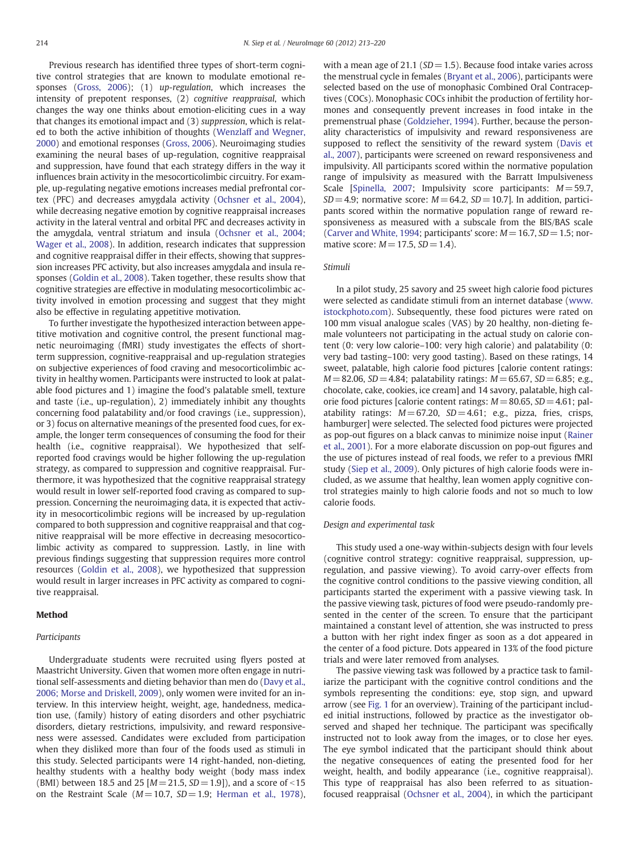Previous research has identified three types of short-term cognitive control strategies that are known to modulate emotional responses [\(Gross, 2006\)](#page-6-0); (1) up-regulation, which increases the intensity of prepotent responses, (2) cognitive reappraisal, which changes the way one thinks about emotion-eliciting cues in a way that changes its emotional impact and (3) suppression, which is related to both the active inhibition of thoughts ([Wenzlaff and Wegner,](#page-7-0) [2000\)](#page-7-0) and emotional responses ([Gross, 2006](#page-6-0)). Neuroimaging studies examining the neural bases of up-regulation, cognitive reappraisal and suppression, have found that each strategy differs in the way it influences brain activity in the mesocorticolimbic circuitry. For example, up-regulating negative emotions increases medial prefrontal cortex (PFC) and decreases amygdala activity ([Ochsner et al., 2004](#page-6-0)), while decreasing negative emotion by cognitive reappraisal increases activity in the lateral ventral and orbital PFC and decreases activity in the amygdala, ventral striatum and insula ([Ochsner et al., 2004;](#page-6-0) [Wager et al., 2008\)](#page-6-0). In addition, research indicates that suppression and cognitive reappraisal differ in their effects, showing that suppression increases PFC activity, but also increases amygdala and insula responses [\(Goldin et al., 2008](#page-6-0)). Taken together, these results show that cognitive strategies are effective in modulating mesocorticolimbic activity involved in emotion processing and suggest that they might also be effective in regulating appetitive motivation.

To further investigate the hypothesized interaction between appetitive motivation and cognitive control, the present functional magnetic neuroimaging (fMRI) study investigates the effects of shortterm suppression, cognitive-reappraisal and up-regulation strategies on subjective experiences of food craving and mesocorticolimbic activity in healthy women. Participants were instructed to look at palatable food pictures and 1) imagine the food's palatable smell, texture and taste (i.e., up-regulation), 2) immediately inhibit any thoughts concerning food palatability and/or food cravings (i.e., suppression), or 3) focus on alternative meanings of the presented food cues, for example, the longer term consequences of consuming the food for their health (i.e., cognitive reappraisal). We hypothesized that selfreported food cravings would be higher following the up-regulation strategy, as compared to suppression and cognitive reappraisal. Furthermore, it was hypothesized that the cognitive reappraisal strategy would result in lower self-reported food craving as compared to suppression. Concerning the neuroimaging data, it is expected that activity in mesocorticolimbic regions will be increased by up-regulation compared to both suppression and cognitive reappraisal and that cognitive reappraisal will be more effective in decreasing mesocorticolimbic activity as compared to suppression. Lastly, in line with previous findings suggesting that suppression requires more control resources ([Goldin et al., 2008](#page-6-0)), we hypothesized that suppression would result in larger increases in PFC activity as compared to cognitive reappraisal.

# Method

# Participants

Undergraduate students were recruited using flyers posted at Maastricht University. Given that women more often engage in nutritional self-assessments and dieting behavior than men do ([Davy et al.,](#page-6-0) [2006; Morse and Driskell, 2009\)](#page-6-0), only women were invited for an interview. In this interview height, weight, age, handedness, medication use, (family) history of eating disorders and other psychiatric disorders, dietary restrictions, impulsivity, and reward responsiveness were assessed. Candidates were excluded from participation when they disliked more than four of the foods used as stimuli in this study. Selected participants were 14 right-handed, non-dieting, healthy students with a healthy body weight (body mass index (BMI) between 18.5 and 25  $[M = 21.5, SD = 1.9]$ ), and a score of <15 on the Restraint Scale ( $M= 10.7$ ,  $SD= 1.9$ ; [Herman et al., 1978](#page-6-0)), with a mean age of 21.1 ( $SD = 1.5$ ). Because food intake varies across the menstrual cycle in females [\(Bryant et al., 2006](#page-6-0)), participants were selected based on the use of monophasic Combined Oral Contraceptives (COCs). Monophasic COCs inhibit the production of fertility hormones and consequently prevent increases in food intake in the premenstrual phase ([Goldzieher, 1994](#page-6-0)). Further, because the personality characteristics of impulsivity and reward responsiveness are supposed to reflect the sensitivity of the reward system [\(Davis et](#page-6-0) [al., 2007](#page-6-0)), participants were screened on reward responsiveness and impulsivity. All participants scored within the normative population range of impulsivity as measured with the Barratt Impulsiveness Scale [\[Spinella, 2007](#page-7-0); Impulsivity score participants:  $M = 59.7$ ,  $SD = 4.9$ ; normative score:  $M = 64.2$ ,  $SD = 10.7$ ]. In addition, participants scored within the normative population range of reward responsiveness as measured with a subscale from the BIS/BAS scale [\(Carver and White, 1994;](#page-6-0) participants' score:  $M = 16.7$ ,  $SD = 1.5$ ; normative score:  $M = 17.5$ ,  $SD = 1.4$ ).

# Stimuli

In a pilot study, 25 savory and 25 sweet high calorie food pictures were selected as candidate stimuli from an internet database ([www.](http://www.istockphoto.com) [istockphoto.com\)](http://www.istockphoto.com). Subsequently, these food pictures were rated on 100 mm visual analogue scales (VAS) by 20 healthy, non-dieting female volunteers not participating in the actual study on calorie content (0: very low calorie–100: very high calorie) and palatability (0: very bad tasting–100: very good tasting). Based on these ratings, 14 sweet, palatable, high calorie food pictures [calorie content ratings:  $M = 82.06$ ,  $SD = 4.84$ ; palatability ratings:  $M = 65.67$ ,  $SD = 6.85$ ; e.g., chocolate, cake, cookies, ice cream] and 14 savory, palatable, high calorie food pictures [calorie content ratings:  $M = 80.65$ ,  $SD = 4.61$ ; palatability ratings:  $M = 67.20$ ,  $SD = 4.61$ ; e.g., pizza, fries, crisps, hamburger] were selected. The selected food pictures were projected as pop-out figures on a black canvas to minimize noise input [\(Rainer](#page-7-0) [et al., 2001\)](#page-7-0). For a more elaborate discussion on pop-out figures and the use of pictures instead of real foods, we refer to a previous fMRI study ([Siep et al., 2009\)](#page-7-0). Only pictures of high calorie foods were included, as we assume that healthy, lean women apply cognitive control strategies mainly to high calorie foods and not so much to low calorie foods.

# Design and experimental task

This study used a one-way within-subjects design with four levels (cognitive control strategy: cognitive reappraisal, suppression, upregulation, and passive viewing). To avoid carry-over effects from the cognitive control conditions to the passive viewing condition, all participants started the experiment with a passive viewing task. In the passive viewing task, pictures of food were pseudo-randomly presented in the center of the screen. To ensure that the participant maintained a constant level of attention, she was instructed to press a button with her right index finger as soon as a dot appeared in the center of a food picture. Dots appeared in 13% of the food picture trials and were later removed from analyses.

The passive viewing task was followed by a practice task to familiarize the participant with the cognitive control conditions and the symbols representing the conditions: eye, stop sign, and upward arrow (see [Fig. 1](#page-2-0) for an overview). Training of the participant included initial instructions, followed by practice as the investigator observed and shaped her technique. The participant was specifically instructed not to look away from the images, or to close her eyes. The eye symbol indicated that the participant should think about the negative consequences of eating the presented food for her weight, health, and bodily appearance (i.e., cognitive reappraisal). This type of reappraisal has also been referred to as situationfocused reappraisal ([Ochsner et al., 2004\)](#page-6-0), in which the participant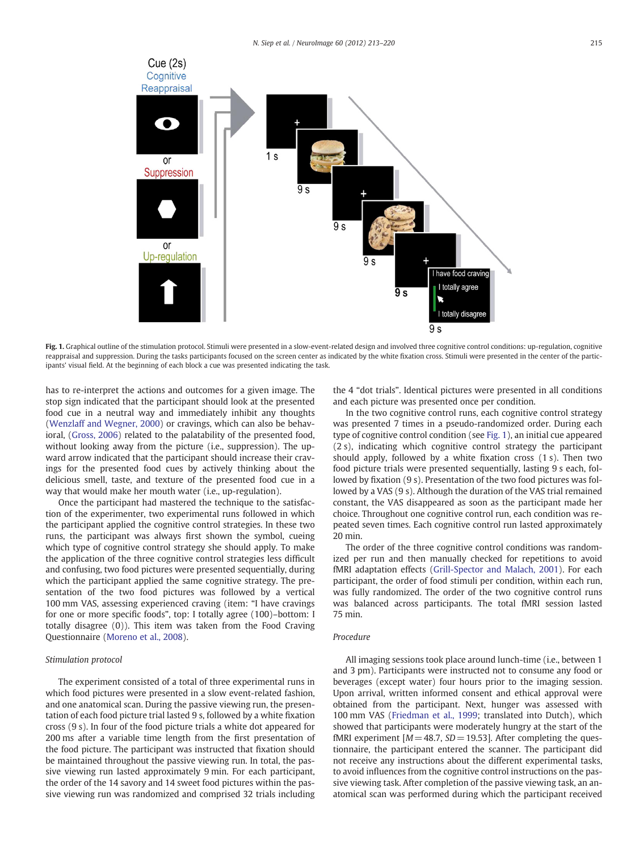<span id="page-2-0"></span>

Fig. 1. Graphical outline of the stimulation protocol. Stimuli were presented in a slow-event-related design and involved three cognitive control conditions: up-regulation, cognitive reappraisal and suppression. During the tasks participants focused on the screen center as indicated by the white fixation cross. Stimuli were presented in the center of the participants' visual field. At the beginning of each block a cue was presented indicating the task.

has to re-interpret the actions and outcomes for a given image. The stop sign indicated that the participant should look at the presented food cue in a neutral way and immediately inhibit any thoughts [\(Wenzlaff and Wegner, 2000\)](#page-7-0) or cravings, which can also be behavioral, [\(Gross, 2006\)](#page-6-0) related to the palatability of the presented food, without looking away from the picture (i.e., suppression). The upward arrow indicated that the participant should increase their cravings for the presented food cues by actively thinking about the delicious smell, taste, and texture of the presented food cue in a way that would make her mouth water (i.e., up-regulation).

Once the participant had mastered the technique to the satisfaction of the experimenter, two experimental runs followed in which the participant applied the cognitive control strategies. In these two runs, the participant was always first shown the symbol, cueing which type of cognitive control strategy she should apply. To make the application of the three cognitive control strategies less difficult and confusing, two food pictures were presented sequentially, during which the participant applied the same cognitive strategy. The presentation of the two food pictures was followed by a vertical 100 mm VAS, assessing experienced craving (item: "I have cravings for one or more specific foods", top: I totally agree (100)–bottom: I totally disagree (0)). This item was taken from the Food Craving Questionnaire [\(Moreno et al., 2008](#page-6-0)).

#### Stimulation protocol

The experiment consisted of a total of three experimental runs in which food pictures were presented in a slow event-related fashion, and one anatomical scan. During the passive viewing run, the presentation of each food picture trial lasted 9 s, followed by a white fixation cross (9 s). In four of the food picture trials a white dot appeared for 200 ms after a variable time length from the first presentation of the food picture. The participant was instructed that fixation should be maintained throughout the passive viewing run. In total, the passive viewing run lasted approximately 9 min. For each participant, the order of the 14 savory and 14 sweet food pictures within the passive viewing run was randomized and comprised 32 trials including

the 4 "dot trials". Identical pictures were presented in all conditions and each picture was presented once per condition.

In the two cognitive control runs, each cognitive control strategy was presented 7 times in a pseudo-randomized order. During each type of cognitive control condition (see Fig. 1), an initial cue appeared (2 s), indicating which cognitive control strategy the participant should apply, followed by a white fixation cross (1 s). Then two food picture trials were presented sequentially, lasting 9 s each, followed by fixation (9 s). Presentation of the two food pictures was followed by a VAS (9 s). Although the duration of the VAS trial remained constant, the VAS disappeared as soon as the participant made her choice. Throughout one cognitive control run, each condition was repeated seven times. Each cognitive control run lasted approximately 20 min.

The order of the three cognitive control conditions was randomized per run and then manually checked for repetitions to avoid fMRI adaptation effects [\(Grill-Spector and Malach, 2001\)](#page-6-0). For each participant, the order of food stimuli per condition, within each run, was fully randomized. The order of the two cognitive control runs was balanced across participants. The total fMRI session lasted 75 min.

# Procedure

All imaging sessions took place around lunch-time (i.e., between 1 and 3 pm). Participants were instructed not to consume any food or beverages (except water) four hours prior to the imaging session. Upon arrival, written informed consent and ethical approval were obtained from the participant. Next, hunger was assessed with 100 mm VAS [\(Friedman et al., 1999](#page-6-0); translated into Dutch), which showed that participants were moderately hungry at the start of the fMRI experiment  $[M = 48.7, SD = 19.53]$ . After completing the questionnaire, the participant entered the scanner. The participant did not receive any instructions about the different experimental tasks, to avoid influences from the cognitive control instructions on the passive viewing task. After completion of the passive viewing task, an anatomical scan was performed during which the participant received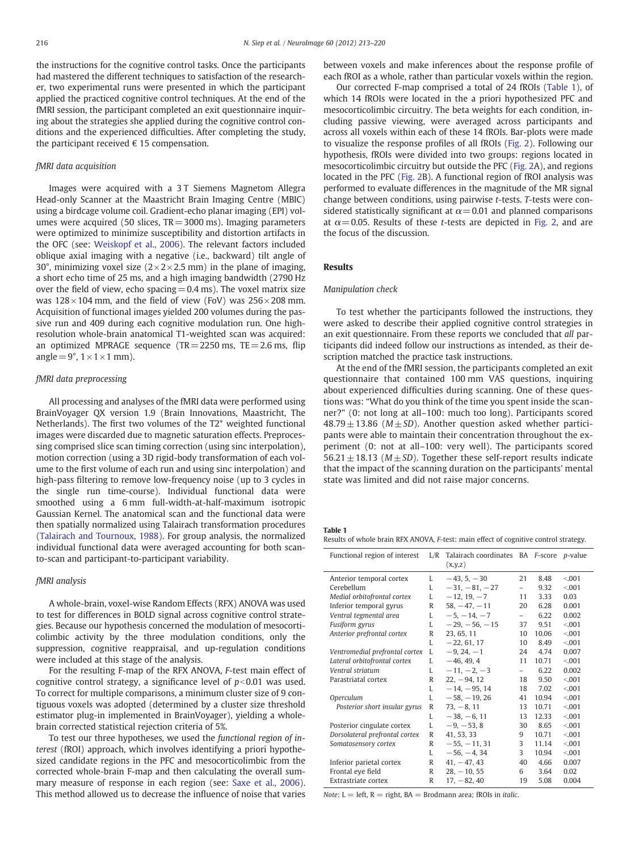<span id="page-3-0"></span>the instructions for the cognitive control tasks. Once the participants had mastered the different techniques to satisfaction of the researcher, two experimental runs were presented in which the participant applied the practiced cognitive control techniques. At the end of the fMRI session, the participant completed an exit questionnaire inquiring about the strategies she applied during the cognitive control conditions and the experienced difficulties. After completing the study, the participant received  $\epsilon$  15 compensation.

# fMRI data acquisition

Images were acquired with a 3 T Siemens Magnetom Allegra Head-only Scanner at the Maastricht Brain Imaging Centre (MBIC) using a birdcage volume coil. Gradient-echo planar imaging (EPI) volumes were acquired (50 slices,  $TR = 3000$  ms). Imaging parameters were optimized to minimize susceptibility and distortion artifacts in the OFC (see: [Weiskopf et al., 2006](#page-7-0)). The relevant factors included oblique axial imaging with a negative (i.e., backward) tilt angle of 30°, minimizing voxel size  $(2 \times 2 \times 2.5$  mm) in the plane of imaging, a short echo time of 25 ms, and a high imaging bandwidth (2790 Hz over the field of view, echo spacing  $= 0.4$  ms). The voxel matrix size was  $128 \times 104$  mm, and the field of view (FoV) was  $256 \times 208$  mm. Acquisition of functional images yielded 200 volumes during the passive run and 409 during each cognitive modulation run. One highresolution whole-brain anatomical T1-weighted scan was acquired: an optimized MPRAGE sequence (TR =  $2250$  ms, TE =  $2.6$  ms, flip angle =  $9^\circ$ ,  $1 \times 1 \times 1$  mm).

# fMRI data preprocessing

All processing and analyses of the fMRI data were performed using BrainVoyager QX version 1.9 (Brain Innovations, Maastricht, The Netherlands). The first two volumes of the T2\* weighted functional images were discarded due to magnetic saturation effects. Preprocessing comprised slice scan timing correction (using sinc interpolation), motion correction (using a 3D rigid-body transformation of each volume to the first volume of each run and using sinc interpolation) and high-pass filtering to remove low-frequency noise (up to 3 cycles in the single run time-course). Individual functional data were smoothed using a 6 mm full-width-at-half-maximum isotropic Gaussian Kernel. The anatomical scan and the functional data were then spatially normalized using Talairach transformation procedures [\(Talairach and Tournoux, 1988\)](#page-7-0). For group analysis, the normalized individual functional data were averaged accounting for both scanto-scan and participant-to-participant variability.

## fMRI analysis

A whole-brain, voxel-wise Random Effects (RFX) ANOVA was used to test for differences in BOLD signal across cognitive control strategies. Because our hypothesis concerned the modulation of mesocorticolimbic activity by the three modulation conditions, only the suppression, cognitive reappraisal, and up-regulation conditions were included at this stage of the analysis.

For the resulting F-map of the RFX ANOVA, F-test main effect of cognitive control strategy, a significance level of  $p<0.01$  was used. To correct for multiple comparisons, a minimum cluster size of 9 contiguous voxels was adopted (determined by a cluster size threshold estimator plug-in implemented in BrainVoyager), yielding a wholebrain corrected statistical rejection criteria of 5%.

To test our three hypotheses, we used the functional region of interest (fROI) approach, which involves identifying a priori hypothesized candidate regions in the PFC and mesocorticolimbic from the corrected whole-brain F-map and then calculating the overall summary measure of response in each region (see: [Saxe et al., 2006](#page-7-0)). This method allowed us to decrease the influence of noise that varies between voxels and make inferences about the response profile of each fROI as a whole, rather than particular voxels within the region.

Our corrected F-map comprised a total of 24 fROIs (Table 1), of which 14 fROIs were located in the a priori hypothesized PFC and mesocorticolimbic circuitry. The beta weights for each condition, including passive viewing, were averaged across participants and across all voxels within each of these 14 fROIs. Bar-plots were made to visualize the response profiles of all fROIs ([Fig. 2](#page-4-0)). Following our hypothesis, fROIs were divided into two groups: regions located in mesocorticolimbic circuitry but outside the PFC ([Fig. 2A](#page-4-0)), and regions located in the PFC [\(Fig. 2B](#page-4-0)). A functional region of fROI analysis was performed to evaluate differences in the magnitude of the MR signal change between conditions, using pairwise t-tests. T-tests were considered statistically significant at  $\alpha$  = 0.01 and planned comparisons at  $\alpha$  = 0.05. Results of these *t*-tests are depicted in [Fig. 2,](#page-4-0) and are the focus of the discussion.

## Results

# Manipulation check

To test whether the participants followed the instructions, they were asked to describe their applied cognitive control strategies in an exit questionnaire. From these reports we concluded that all participants did indeed follow our instructions as intended, as their description matched the practice task instructions.

At the end of the fMRI session, the participants completed an exit questionnaire that contained 100 mm VAS questions, inquiring about experienced difficulties during scanning. One of these questions was: "What do you think of the time you spent inside the scanner?" (0: not long at all–100: much too long). Participants scored  $48.79 \pm 13.86$  ( $M \pm SD$ ). Another question asked whether participants were able to maintain their concentration throughout the experiment (0: not at all–100: very well). The participants scored 56.21  $\pm$  18.13 ( $M \pm SD$ ). Together these self-report results indicate that the impact of the scanning duration on the participants' mental state was limited and did not raise major concerns.

#### Table 1

Results of whole brain RFX ANOVA, F-test: main effect of cognitive control strategy.

| Functional region of interest  | L/R | Talairach coordinates BA F-score p-value<br>(x,y,z) |                          |       |         |
|--------------------------------|-----|-----------------------------------------------------|--------------------------|-------|---------|
| Anterior temporal cortex       | L   | $-43, 5, -30$                                       | 21                       | 8.48  | < 0.001 |
| Cerebellum                     | L   | $-31, -81, -27$                                     |                          | 9.32  | < 0.001 |
| Medial orbitofrontal cortex    | L   | $-12, 19, -7$                                       | 11                       | 3.33  | 0.03    |
| Inferior temporal gyrus        | R   | $58. -47. -11$                                      | 20                       | 6.28  | 0.001   |
| Ventral tegmental area         | L   | $-5, -14, -7$                                       | $-$                      | 6.22  | 0.002   |
| Fusiform gyrus                 | L   | $-29. -56. -15$                                     | 37                       | 9.51  | < 0.001 |
| Anterior prefrontal cortex     | R   | 23, 65, 11                                          | 10                       | 10.06 | < 0.001 |
|                                | L   | $-22, 61, 17$                                       | 10                       | 8.49  | < 0.001 |
| Ventromedial prefrontal cortex | L   | $-9, 24, -1$                                        | 24                       | 4.74  | 0.007   |
| Lateral orbitofrontal cortex   | L   | $-46, 49, 4$                                        | 11                       | 10.71 | < 0.001 |
| Ventral striatum               | L   | $-11, -2, -3$                                       | $\overline{\phantom{0}}$ | 6.22  | 0.002   |
| Parastriatal cortex            | R   | $22, -94, 12$                                       | 18                       | 9.50  | < 0.001 |
|                                | L   | $-14, -95, 14$                                      | 18                       | 7.02  | < 0.001 |
| Operculum                      | L   | $-58, -19, 26$                                      | 41                       | 10.94 | < 0.001 |
| Posterior short insular gyrus  | R   | $73. - 8.11$                                        | 13                       | 10.71 | < 0.001 |
|                                | L   | $-38, -6, 11$                                       | 13                       | 12.33 | < 0.001 |
| Posterior cingulate cortex     | L   | $-9. -53.8$                                         | 30                       | 8.65  | < 0.001 |
| Dorsolateral prefrontal cortex | R   | 41, 53, 33                                          | 9                        | 10.71 | < 0.001 |
| Somatosensory cortex           | R   | $-55, -11, 31$                                      | 3                        | 11.14 | < 0.001 |
|                                | L   | $-56, -4, 34$                                       | 3                        | 10.94 | < 0.001 |
| Inferior parietal cortex       | R   | $41, -47, 43$                                       | 40                       | 4.66  | 0.007   |
| Frontal eye field              | R   | $28, -10, 55$                                       | 6                        | 3.64  | 0.02    |
| Extrastriate cortex            | R   | $17, -82, 40$                                       | 19                       | 5.08  | 0.004   |

Note:  $L = left$ ,  $R = right$ ,  $BA = Brodmann$  area; fROIs in *italic*.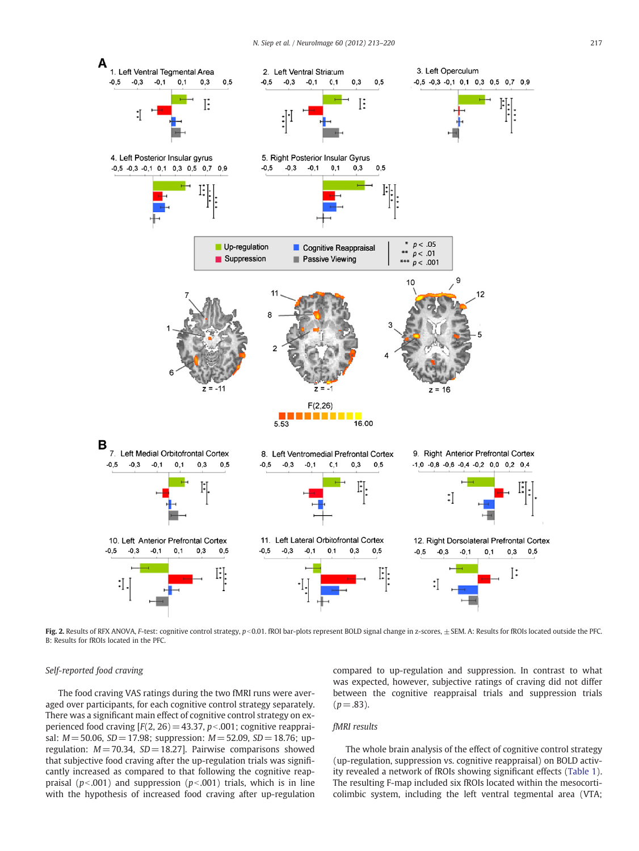<span id="page-4-0"></span>

Fig. 2. Results of RFX ANOVA, F-test: cognitive control strategy, p<0.01. fROI bar-plots represent BOLD signal change in z-scores, ±SEM. A: Results for fROIs located outside the PFC. B: Results for fROIs located in the PFC.

# Self-reported food craving

The food craving VAS ratings during the two fMRI runs were averaged over participants, for each cognitive control strategy separately. There was a significant main effect of cognitive control strategy on experienced food craving  $[F(2, 26) = 43.37, p<0.001$ ; cognitive reappraisal:  $M = 50.06$ ,  $SD = 17.98$ ; suppression:  $M = 52.09$ ,  $SD = 18.76$ ; upregulation:  $M = 70.34$ ,  $SD = 18.27$ ]. Pairwise comparisons showed that subjective food craving after the up-regulation trials was significantly increased as compared to that following the cognitive reappraisal ( $p<0.001$ ) and suppression ( $p<0.01$ ) trials, which is in line with the hypothesis of increased food craving after up-regulation compared to up-regulation and suppression. In contrast to what was expected, however, subjective ratings of craving did not differ between the cognitive reappraisal trials and suppression trials  $(p=.83)$ .

# fMRI results

The whole brain analysis of the effect of cognitive control strategy (up-regulation, suppression vs. cognitive reappraisal) on BOLD activity revealed a network of fROIs showing significant effects ([Table 1](#page-3-0)). The resulting F-map included six fROIs located within the mesocorticolimbic system, including the left ventral tegmental area (VTA;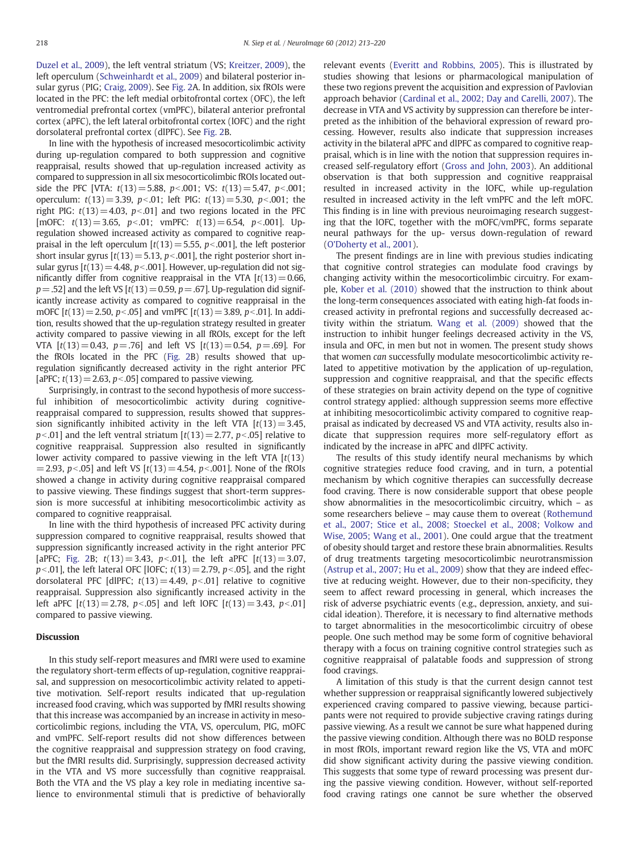[Duzel et al., 2009](#page-6-0)), the left ventral striatum (VS; [Kreitzer, 2009](#page-6-0)), the left operculum [\(Schweinhardt et al., 2009](#page-7-0)) and bilateral posterior insular gyrus (PIG; [Craig, 2009](#page-6-0)). See [Fig. 2A](#page-4-0). In addition, six fROIs were located in the PFC: the left medial orbitofrontal cortex (OFC), the left ventromedial prefrontal cortex (vmPFC), bilateral anterior prefrontal cortex (aPFC), the left lateral orbitofrontal cortex (lOFC) and the right dorsolateral prefrontal cortex (dlPFC). See [Fig. 2](#page-4-0)B.

In line with the hypothesis of increased mesocorticolimbic activity during up-regulation compared to both suppression and cognitive reappraisal, results showed that up-regulation increased activity as compared to suppression in all six mesocorticolimbic fROIs located outside the PFC [VTA:  $t(13) = 5.88$ ,  $p < .001$ ; VS:  $t(13) = 5.47$ ,  $p < .001$ ; operculum:  $t(13) = 3.39$ ,  $p < .01$ ; left PIG:  $t(13) = 5.30$ ,  $p < .001$ ; the right PIG:  $t(13)=4.03$ ,  $p<.01]$  and two regions located in the PFC [mOFC:  $t(13) = 3.65$ ,  $p < .01$ ; vmPFC:  $t(13) = 6.54$ ,  $p < .001$ ]. Upregulation showed increased activity as compared to cognitive reappraisal in the left operculum  $[t(13) = 5.55, p<0.001]$ , the left posterior short insular gyrus  $[t(13) = 5.13, p<0.001]$ , the right posterior short insular gyrus  $[t(13) = 4.48, p<0.001]$ . However, up-regulation did not significantly differ from cognitive reappraisal in the VTA  $[t(13) = 0.66,$  $p = .52$  and the left VS  $[t(13) = 0.59, p = .67]$ . Up-regulation did significantly increase activity as compared to cognitive reappraisal in the mOFC  $[t(13) = 2.50, p<0.05]$  and vmPFC  $[t(13) = 3.89, p<0.01]$ . In addition, results showed that the up-regulation strategy resulted in greater activity compared to passive viewing in all fROIs, except for the left VTA  $[t(13)=0.43, p=.76]$  and left VS  $[t(13)=0.54, p=.69]$ . For the fROIs located in the PFC ([Fig. 2B](#page-4-0)) results showed that upregulation significantly decreased activity in the right anterior PFC [aPFC;  $t(13)=2.63$ ,  $p<0.05$ ] compared to passive viewing.

Surprisingly, in contrast to the second hypothesis of more successful inhibition of mesocorticolimbic activity during cognitivereappraisal compared to suppression, results showed that suppression significantly inhibited activity in the left VTA  $[t(13) = 3.45,$  $p<0.01$ ] and the left ventral striatum [t(13) = 2.77, p $<$  05] relative to cognitive reappraisal. Suppression also resulted in significantly lower activity compared to passive viewing in the left VTA  $[t(13)]$  $= 2.93$ , p<.05] and left VS  $[t(13) = 4.54, p<0.01]$ . None of the fROIs showed a change in activity during cognitive reappraisal compared to passive viewing. These findings suggest that short-term suppression is more successful at inhibiting mesocorticolimbic activity as compared to cognitive reappraisal.

In line with the third hypothesis of increased PFC activity during suppression compared to cognitive reappraisal, results showed that suppression significantly increased activity in the right anterior PFC [aPFC; [Fig. 2B](#page-4-0);  $t(13) = 3.43$ ,  $p < .01$ ], the left aPFC  $[t(13) = 3.07$ ,  $p<0.01$ , the left lateral OFC [lOFC;  $t(13)=2.79$ ,  $p<0.05$ ], and the right dorsolateral PFC [dlPFC;  $t(13) = 4.49$ ,  $p < .01$ ] relative to cognitive reappraisal. Suppression also significantly increased activity in the left aPFC  $[t(13) = 2.78, p<0.05]$  and left lOFC  $[t(13) = 3.43, p<0.01]$ compared to passive viewing.

# **Discussion**

In this study self-report measures and fMRI were used to examine the regulatory short-term effects of up-regulation, cognitive reappraisal, and suppression on mesocorticolimbic activity related to appetitive motivation. Self-report results indicated that up-regulation increased food craving, which was supported by fMRI results showing that this increase was accompanied by an increase in activity in mesocorticolimbic regions, including the VTA, VS, operculum, PIG, mOFC and vmPFC. Self-report results did not show differences between the cognitive reappraisal and suppression strategy on food craving, but the fMRI results did. Surprisingly, suppression decreased activity in the VTA and VS more successfully than cognitive reappraisal. Both the VTA and the VS play a key role in mediating incentive salience to environmental stimuli that is predictive of behaviorally relevant events ([Everitt and Robbins, 2005](#page-6-0)). This is illustrated by studies showing that lesions or pharmacological manipulation of these two regions prevent the acquisition and expression of Pavlovian approach behavior ([Cardinal et al., 2002; Day and Carelli, 2007\)](#page-6-0). The decrease in VTA and VS activity by suppression can therefore be interpreted as the inhibition of the behavioral expression of reward processing. However, results also indicate that suppression increases activity in the bilateral aPFC and dlPFC as compared to cognitive reappraisal, which is in line with the notion that suppression requires increased self-regulatory effort [\(Gross and John, 2003\)](#page-6-0). An additional observation is that both suppression and cognitive reappraisal resulted in increased activity in the lOFC, while up-regulation resulted in increased activity in the left vmPFC and the left mOFC. This finding is in line with previous neuroimaging research suggesting that the lOFC, together with the mOFC/vmPFC, forms separate neural pathways for the up- versus down-regulation of reward [\(O'Doherty et al., 2001\)](#page-7-0).

The present findings are in line with previous studies indicating that cognitive control strategies can modulate food cravings by changing activity within the mesocorticolimbic circuitry. For example, [Kober et al. \(2010\)](#page-6-0) showed that the instruction to think about the long-term consequences associated with eating high-fat foods increased activity in prefrontal regions and successfully decreased activity within the striatum. [Wang et al. \(2009\)](#page-7-0) showed that the instruction to inhibit hunger feelings decreased activity in the VS, insula and OFC, in men but not in women. The present study shows that women can successfully modulate mesocorticolimbic activity related to appetitive motivation by the application of up-regulation, suppression and cognitive reappraisal, and that the specific effects of these strategies on brain activity depend on the type of cognitive control strategy applied: although suppression seems more effective at inhibiting mesocorticolimbic activity compared to cognitive reappraisal as indicated by decreased VS and VTA activity, results also indicate that suppression requires more self-regulatory effort as indicated by the increase in aPFC and dlPFC activity.

The results of this study identify neural mechanisms by which cognitive strategies reduce food craving, and in turn, a potential mechanism by which cognitive therapies can successfully decrease food craving. There is now considerable support that obese people show abnormalities in the mesocorticolimbic circuitry, which – as some researchers believe – may cause them to overeat [\(Rothemund](#page-7-0) [et al., 2007; Stice et al., 2008; Stoeckel et al., 2008; Volkow and](#page-7-0) [Wise, 2005; Wang et al., 2001](#page-7-0)). One could argue that the treatment of obesity should target and restore these brain abnormalities. Results of drug treatments targeting mesocorticolimbic neurotransmission [\(Astrup et al., 2007; Hu et al., 2009\)](#page-6-0) show that they are indeed effective at reducing weight. However, due to their non-specificity, they seem to affect reward processing in general, which increases the risk of adverse psychiatric events (e.g., depression, anxiety, and suicidal ideation). Therefore, it is necessary to find alternative methods to target abnormalities in the mesocorticolimbic circuitry of obese people. One such method may be some form of cognitive behavioral therapy with a focus on training cognitive control strategies such as cognitive reappraisal of palatable foods and suppression of strong food cravings.

A limitation of this study is that the current design cannot test whether suppression or reappraisal significantly lowered subjectively experienced craving compared to passive viewing, because participants were not required to provide subjective craving ratings during passive viewing. As a result we cannot be sure what happened during the passive viewing condition. Although there was no BOLD response in most fROIs, important reward region like the VS, VTA and mOFC did show significant activity during the passive viewing condition. This suggests that some type of reward processing was present during the passive viewing condition. However, without self-reported food craving ratings one cannot be sure whether the observed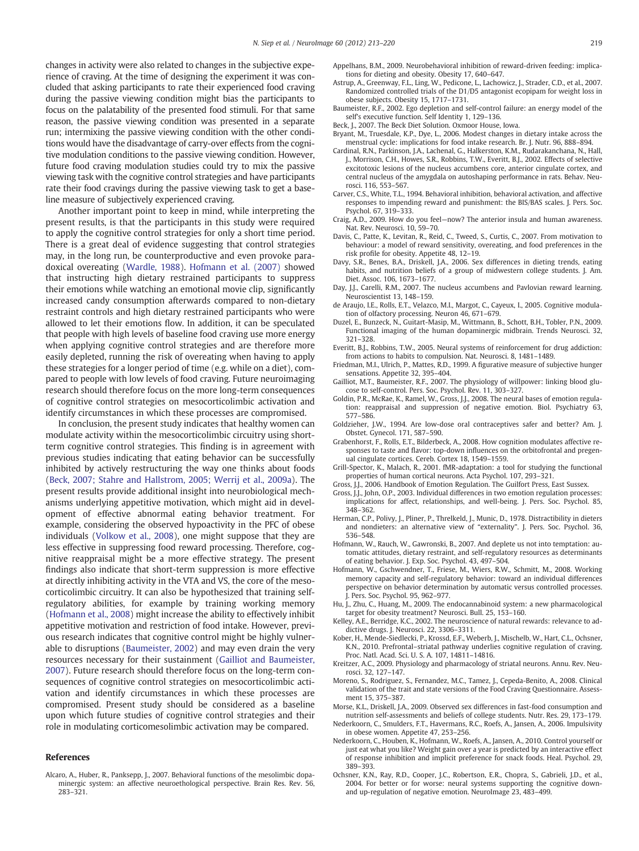<span id="page-6-0"></span>changes in activity were also related to changes in the subjective experience of craving. At the time of designing the experiment it was concluded that asking participants to rate their experienced food craving during the passive viewing condition might bias the participants to focus on the palatability of the presented food stimuli. For that same reason, the passive viewing condition was presented in a separate run; intermixing the passive viewing condition with the other conditions would have the disadvantage of carry-over effects from the cognitive modulation conditions to the passive viewing condition. However, future food craving modulation studies could try to mix the passive viewing task with the cognitive control strategies and have participants rate their food cravings during the passive viewing task to get a baseline measure of subjectively experienced craving.

Another important point to keep in mind, while interpreting the present results, is that the participants in this study were required to apply the cognitive control strategies for only a short time period. There is a great deal of evidence suggesting that control strategies may, in the long run, be counterproductive and even provoke paradoxical overeating ([Wardle, 1988](#page-7-0)). Hofmann et al. (2007) showed that instructing high dietary restrained participants to suppress their emotions while watching an emotional movie clip, significantly increased candy consumption afterwards compared to non-dietary restraint controls and high dietary restrained participants who were allowed to let their emotions flow. In addition, it can be speculated that people with high levels of baseline food craving use more energy when applying cognitive control strategies and are therefore more easily depleted, running the risk of overeating when having to apply these strategies for a longer period of time (e.g. while on a diet), compared to people with low levels of food craving. Future neuroimaging research should therefore focus on the more long-term consequences of cognitive control strategies on mesocorticolimbic activation and identify circumstances in which these processes are compromised.

In conclusion, the present study indicates that healthy women can modulate activity within the mesocorticolimbic circuitry using shortterm cognitive control strategies. This finding is in agreement with previous studies indicating that eating behavior can be successfully inhibited by actively restructuring the way one thinks about foods (Beck, 2007; Stahre and Hallstrom, 2005; Werrij et al., 2009a). The present results provide additional insight into neurobiological mechanisms underlying appetitive motivation, which might aid in development of effective abnormal eating behavior treatment. For example, considering the observed hypoactivity in the PFC of obese individuals [\(Volkow et al., 2008\)](#page-7-0), one might suppose that they are less effective in suppressing food reward processing. Therefore, cognitive reappraisal might be a more effective strategy. The present findings also indicate that short-term suppression is more effective at directly inhibiting activity in the VTA and VS, the core of the mesocorticolimbic circuitry. It can also be hypothesized that training selfregulatory abilities, for example by training working memory (Hofmann et al., 2008) might increase the ability to effectively inhibit appetitive motivation and restriction of food intake. However, previous research indicates that cognitive control might be highly vulnerable to disruptions (Baumeister, 2002) and may even drain the very resources necessary for their sustainment (Gailliot and Baumeister, 2007). Future research should therefore focus on the long-term consequences of cognitive control strategies on mesocorticolimbic activation and identify circumstances in which these processes are compromised. Present study should be considered as a baseline upon which future studies of cognitive control strategies and their role in modulating corticomesolimbic activation may be compared.

#### References

Alcaro, A., Huber, R., Panksepp, J., 2007. Behavioral functions of the mesolimbic dopaminergic system: an affective neuroethological perspective. Brain Res. Rev. 56, 283–321.

- Appelhans, B.M., 2009. Neurobehavioral inhibition of reward-driven feeding: implications for dieting and obesity. Obesity 17, 640–647.
- Astrup, A., Greenway, F.L., Ling, W., Pedicone, L., Lachowicz, J., Strader, C.D., et al., 2007. Randomized controlled trials of the D1/D5 antagonist ecopipam for weight loss in obese subjects. Obesity 15, 1717–1731.
- Baumeister, R.F., 2002. Ego depletion and self-control failure: an energy model of the self's executive function. Self Identity 1, 129–136.
- Beck, J., 2007. The Beck Diet Solution. Oxmoor House, Iowa.
- Bryant, M., Truesdale, K.P., Dye, L., 2006. Modest changes in dietary intake across the menstrual cycle: implications for food intake research. Br. J. Nutr. 96, 888–894.
- Cardinal, R.N., Parkinson, J.A., Lachenal, G., Halkerston, K.M., Rudarakanchana, N., Hall, J., Morrison, C.H., Howes, S.R., Robbins, T.W., Everitt, B.J., 2002. Effects of selective excitotoxic lesions of the nucleus accumbens core, anterior cingulate cortex, and central nucleus of the amygdala on autoshaping performance in rats. Behav. Neurosci. 116, 553–567.
- Carver, C.S., White, T.L., 1994. Behavioral inhibition, behavioral activation, and affective responses to impending reward and punishment: the BIS/BAS scales. J. Pers. Soc. Psychol. 67, 319–333.
- Craig, A.D., 2009. How do you feel—now? The anterior insula and human awareness. Nat. Rev. Neurosci. 10, 59–70.
- Davis, C., Patte, K., Levitan, R., Reid, C., Tweed, S., Curtis, C., 2007. From motivation to behaviour: a model of reward sensitivity, overeating, and food preferences in the risk profile for obesity. Appetite 48, 12–19.
- Davy, S.R., Benes, B.A., Driskell, J.A., 2006. Sex differences in dieting trends, eating habits, and nutrition beliefs of a group of midwestern college students. J. Am. Diet. Assoc. 106, 1673–1677.
- Day, J.J., Carelli, R.M., 2007. The nucleus accumbens and Pavlovian reward learning. Neuroscientist 13, 148–159.
- de Araujo, I.E., Rolls, E.T., Velazco, M.I., Margot, C., Cayeux, I., 2005. Cognitive modulation of olfactory processing. Neuron 46, 671–679.
- Duzel, E., Bunzeck, N., Guitart-Masip, M., Wittmann, B., Schott, B.H., Tobler, P.N., 2009. Functional imaging of the human dopaminergic midbrain. Trends Neurosci. 32, 321–328.
- Everitt, B.J., Robbins, T.W., 2005. Neural systems of reinforcement for drug addiction: from actions to habits to compulsion. Nat. Neurosci. 8, 1481–1489.
- Friedman, M.I., Ulrich, P., Mattes, R.D., 1999. A figurative measure of subjective hunger sensations. Appetite 32, 395–404.
- Gailliot, M.T., Baumeister, R.F., 2007. The physiology of willpower: linking blood glucose to self-control. Pers. Soc. Psychol. Rev. 11, 303–327.
- Goldin, P.R., McRae, K., Ramel, W., Gross, J.J., 2008. The neural bases of emotion regulation: reappraisal and suppression of negative emotion. Biol. Psychiatry 63, 577–586.
- Goldzieher, J.W., 1994. Are low-dose oral contraceptives safer and better? Am. J. Obstet. Gynecol. 171, 587–590.
- Grabenhorst, F., Rolls, E.T., Bilderbeck, A., 2008. How cognition modulates affective responses to taste and flavor: top-down influences on the orbitofrontal and pregenual cingulate cortices. Cereb. Cortex 18, 1549–1559.
- Grill-Spector, K., Malach, R., 2001. fMR-adaptation: a tool for studying the functional properties of human cortical neurons. Acta Psychol. 107, 293–321.
- Gross, J.J., 2006. Handbook of Emotion Regulation. The Guilfort Press, East Sussex.
- Gross, J.J., John, O.P., 2003. Individual differences in two emotion regulation processes: implications for affect, relationships, and well-being. J. Pers. Soc. Psychol. 85, 348–362.
- Herman, C.P., Polivy, J., Pliner, P., Threlkeld, J., Munic, D., 1978. Distractibility in dieters and nondieters: an alternative view of "externality". J. Pers. Soc. Psychol. 36, 536–548.
- Hofmann, W., Rauch, W., Gawronski, B., 2007. And deplete us not into temptation: automatic attitudes, dietary restraint, and self-regulatory resources as determinants of eating behavior. J. Exp. Soc. Psychol. 43, 497–504.
- Hofmann, W., Gschwendner, T., Friese, M., Wiers, R.W., Schmitt, M., 2008. Working memory capacity and self-regulatory behavior: toward an individual differences perspective on behavior determination by automatic versus controlled processes. J. Pers. Soc. Psychol. 95, 962–977.
- Hu, J., Zhu, C., Huang, M., 2009. The endocannabinoid system: a new pharmacological target for obesity treatment? Neurosci. Bull. 25, 153–160.
- Kelley, A.E., Berridge, K.C., 2002. The neuroscience of natural rewards: relevance to addictive drugs. J. Neurosci. 22, 3306–3311.
- Kober, H., Mende-Siedlecki, P., Krossd, E.F., Weberb, J., Mischelb, W., Hart, C.L., Ochsner, K.N., 2010. Prefrontal–striatal pathway underlies cognitive regulation of craving. Proc. Natl. Acad. Sci. U. S. A. 107, 14811–14816.
- Kreitzer, A.C., 2009. Physiology and pharmacology of striatal neurons. Annu. Rev. Neurosci. 32, 127–147.
- Moreno, S., Rodriguez, S., Fernandez, M.C., Tamez, J., Cepeda-Benito, A., 2008. Clinical validation of the trait and state versions of the Food Craving Questionnaire. Assessment 15, 375–387.
- Morse, K.L., Driskell, J.A., 2009. Observed sex differences in fast-food consumption and nutrition self-assessments and beliefs of college students. Nutr. Res. 29, 173–179.
- Nederkoorn, C., Smulders, F.T., Havermans, R.C., Roefs, A., Jansen, A., 2006. Impulsivity in obese women. Appetite 47, 253–256.
- Nederkoorn, C., Houben, K., Hofmann, W., Roefs, A., Jansen, A., 2010. Control yourself or just eat what you like? Weight gain over a year is predicted by an interactive effect of response inhibition and implicit preference for snack foods. Heal. Psychol. 29, 389–393.
- Ochsner, K.N., Ray, R.D., Cooper, J.C., Robertson, E.R., Chopra, S., Gabrieli, J.D., et al., 2004. For better or for worse: neural systems supporting the cognitive downand up-regulation of negative emotion. NeuroImage 23, 483–499.